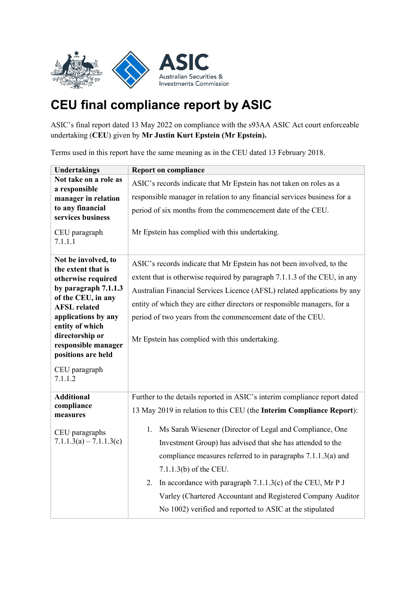

## **CEU final compliance report by ASIC**

ASIC's final report dated 13 May 2022 on compliance with the s93AA ASIC Act court enforceable undertaking (**CEU**) given by **Mr Justin Kurt Epstein (Mr Epstein).**

Terms used in this report have the same meaning as in the CEU dated 13 February 2018.

| <b>Undertakings</b>                                                                                                                                                                                                                                                          | <b>Report on compliance</b>                                                                                                                                                                                                                                                                                                                                                                                                |
|------------------------------------------------------------------------------------------------------------------------------------------------------------------------------------------------------------------------------------------------------------------------------|----------------------------------------------------------------------------------------------------------------------------------------------------------------------------------------------------------------------------------------------------------------------------------------------------------------------------------------------------------------------------------------------------------------------------|
| Not take on a role as<br>a responsible                                                                                                                                                                                                                                       | ASIC's records indicate that Mr Epstein has not taken on roles as a                                                                                                                                                                                                                                                                                                                                                        |
| manager in relation                                                                                                                                                                                                                                                          | responsible manager in relation to any financial services business for a                                                                                                                                                                                                                                                                                                                                                   |
| to any financial<br>services business                                                                                                                                                                                                                                        | period of six months from the commencement date of the CEU.                                                                                                                                                                                                                                                                                                                                                                |
| CEU paragraph<br>7.1.1.1                                                                                                                                                                                                                                                     | Mr Epstein has complied with this undertaking.                                                                                                                                                                                                                                                                                                                                                                             |
| Not be involved, to<br>the extent that is<br>otherwise required<br>by paragraph $7.1.1.3$<br>of the CEU, in any<br><b>AFSL</b> related<br>applications by any<br>entity of which<br>directorship or<br>responsible manager<br>positions are held<br>CEU paragraph<br>7.1.1.2 | ASIC's records indicate that Mr Epstein has not been involved, to the<br>extent that is otherwise required by paragraph 7.1.1.3 of the CEU, in any<br>Australian Financial Services Licence (AFSL) related applications by any<br>entity of which they are either directors or responsible managers, for a<br>period of two years from the commencement date of the CEU.<br>Mr Epstein has complied with this undertaking. |
| <b>Additional</b><br>compliance<br>measures<br>CEU paragraphs                                                                                                                                                                                                                | Further to the details reported in ASIC's interim compliance report dated<br>13 May 2019 in relation to this CEU (the Interim Compliance Report):<br>1. Ms Sarah Wiesener (Director of Legal and Compliance, One                                                                                                                                                                                                           |
| $7.1.1.3(a) - 7.1.1.3(c)$                                                                                                                                                                                                                                                    | Investment Group) has advised that she has attended to the<br>compliance measures referred to in paragraphs 7.1.1.3(a) and<br>7.1.1.3(b) of the CEU.<br>2. In accordance with paragraph 7.1.1.3(c) of the CEU, Mr P J<br>Varley (Chartered Accountant and Registered Company Auditor<br>No 1002) verified and reported to ASIC at the stipulated                                                                           |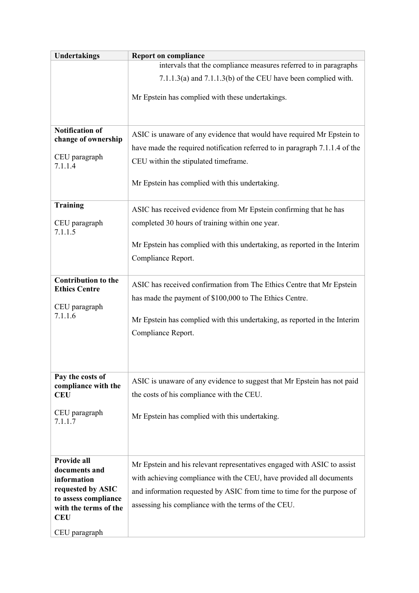| <b>Undertakings</b>                                | <b>Report on compliance</b>                                                 |
|----------------------------------------------------|-----------------------------------------------------------------------------|
|                                                    | intervals that the compliance measures referred to in paragraphs            |
|                                                    | $7.1.1.3(a)$ and $7.1.1.3(b)$ of the CEU have been complied with.           |
|                                                    | Mr Epstein has complied with these undertakings.                            |
|                                                    |                                                                             |
| <b>Notification of</b><br>change of ownership      | ASIC is unaware of any evidence that would have required Mr Epstein to      |
|                                                    | have made the required notification referred to in paragraph 7.1.1.4 of the |
| CEU paragraph<br>7.1.1.4                           | CEU within the stipulated timeframe.                                        |
|                                                    | Mr Epstein has complied with this undertaking.                              |
| <b>Training</b>                                    | ASIC has received evidence from Mr Epstein confirming that he has           |
| CEU paragraph<br>7.1.1.5                           | completed 30 hours of training within one year.                             |
|                                                    | Mr Epstein has complied with this undertaking, as reported in the Interim   |
|                                                    | Compliance Report.                                                          |
| <b>Contribution to the</b><br><b>Ethics Centre</b> | ASIC has received confirmation from The Ethics Centre that Mr Epstein       |
|                                                    | has made the payment of \$100,000 to The Ethics Centre.                     |
| CEU paragraph<br>7.1.1.6                           | Mr Epstein has complied with this undertaking, as reported in the Interim   |
|                                                    | Compliance Report.                                                          |
|                                                    |                                                                             |
|                                                    |                                                                             |
| Pay the costs of<br>compliance with the            | ASIC is unaware of any evidence to suggest that Mr Epstein has not paid     |
| <b>CEU</b>                                         | the costs of his compliance with the CEU.                                   |
| CEU paragraph<br>7.1.1.7                           | Mr Epstein has complied with this undertaking.                              |
|                                                    |                                                                             |
|                                                    |                                                                             |
| Provide all<br>documents and                       | Mr Epstein and his relevant representatives engaged with ASIC to assist     |
| information<br>requested by ASIC                   | with achieving compliance with the CEU, have provided all documents         |
| to assess compliance                               | and information requested by ASIC from time to time for the purpose of      |
| with the terms of the<br><b>CEU</b>                | assessing his compliance with the terms of the CEU.                         |
| CEU paragraph                                      |                                                                             |